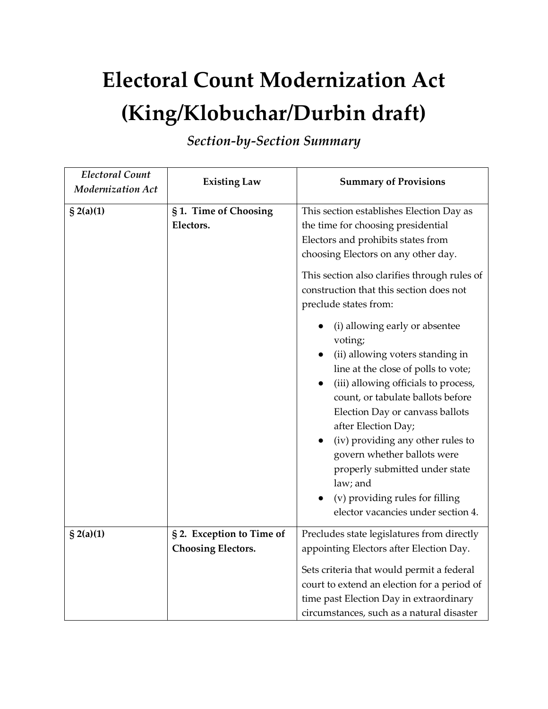## **Electoral Count Modernization Act (King/Klobuchar/Durbin draft)**

*Section-by-Section Summary*

| <b>Electoral Count</b><br><b>Modernization Act</b> | <b>Existing Law</b>                                    | <b>Summary of Provisions</b>                                                                                                                                                                                                                                                                                                                                                                                                                                                                                                                                                                                                                                                                                                              |
|----------------------------------------------------|--------------------------------------------------------|-------------------------------------------------------------------------------------------------------------------------------------------------------------------------------------------------------------------------------------------------------------------------------------------------------------------------------------------------------------------------------------------------------------------------------------------------------------------------------------------------------------------------------------------------------------------------------------------------------------------------------------------------------------------------------------------------------------------------------------------|
| $\S$ 2(a)(1)                                       | §1. Time of Choosing<br>Electors.                      | This section establishes Election Day as<br>the time for choosing presidential<br>Electors and prohibits states from<br>choosing Electors on any other day.<br>This section also clarifies through rules of<br>construction that this section does not<br>preclude states from:<br>(i) allowing early or absentee<br>voting;<br>(ii) allowing voters standing in<br>line at the close of polls to vote;<br>(iii) allowing officials to process,<br>count, or tabulate ballots before<br>Election Day or canvass ballots<br>after Election Day;<br>(iv) providing any other rules to<br>govern whether ballots were<br>properly submitted under state<br>law; and<br>(v) providing rules for filling<br>elector vacancies under section 4. |
| \$2(a)(1)                                          | § 2. Exception to Time of<br><b>Choosing Electors.</b> | Precludes state legislatures from directly<br>appointing Electors after Election Day.<br>Sets criteria that would permit a federal<br>court to extend an election for a period of<br>time past Election Day in extraordinary<br>circumstances, such as a natural disaster                                                                                                                                                                                                                                                                                                                                                                                                                                                                 |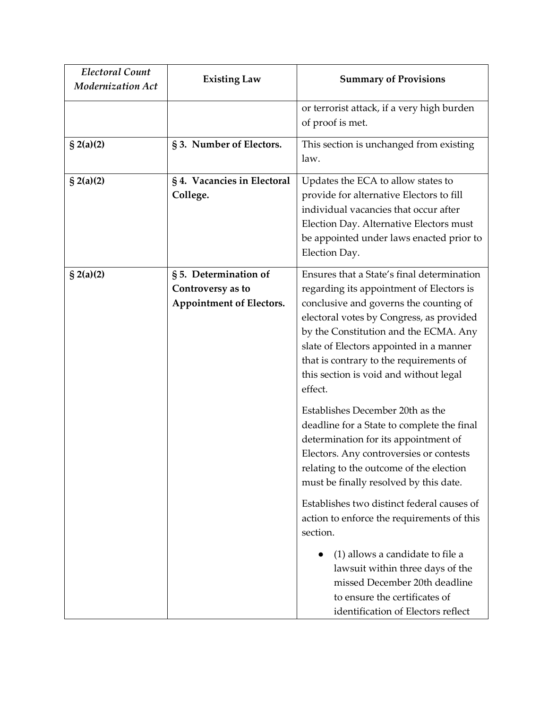| <b>Electoral Count</b><br><b>Modernization Act</b> | <b>Existing Law</b>                                                           | <b>Summary of Provisions</b>                                                                                                                                                                                                                                                                                                                                                                                                                                                                                                                                                     |
|----------------------------------------------------|-------------------------------------------------------------------------------|----------------------------------------------------------------------------------------------------------------------------------------------------------------------------------------------------------------------------------------------------------------------------------------------------------------------------------------------------------------------------------------------------------------------------------------------------------------------------------------------------------------------------------------------------------------------------------|
|                                                    |                                                                               | or terrorist attack, if a very high burden<br>of proof is met.                                                                                                                                                                                                                                                                                                                                                                                                                                                                                                                   |
| $\{2(a)(2)$                                        | §3. Number of Electors.                                                       | This section is unchanged from existing<br>law.                                                                                                                                                                                                                                                                                                                                                                                                                                                                                                                                  |
| $\{2(a)(2)$                                        | §4. Vacancies in Electoral<br>College.                                        | Updates the ECA to allow states to<br>provide for alternative Electors to fill<br>individual vacancies that occur after<br>Election Day. Alternative Electors must<br>be appointed under laws enacted prior to<br>Election Day.                                                                                                                                                                                                                                                                                                                                                  |
| $\S$ 2(a)(2)                                       | § 5. Determination of<br>Controversy as to<br><b>Appointment of Electors.</b> | Ensures that a State's final determination<br>regarding its appointment of Electors is<br>conclusive and governs the counting of<br>electoral votes by Congress, as provided<br>by the Constitution and the ECMA. Any<br>slate of Electors appointed in a manner<br>that is contrary to the requirements of<br>this section is void and without legal<br>effect.<br>Establishes December 20th as the<br>deadline for a State to complete the final<br>determination for its appointment of<br>Electors. Any controversies or contests<br>relating to the outcome of the election |
|                                                    |                                                                               | must be finally resolved by this date.<br>Establishes two distinct federal causes of<br>action to enforce the requirements of this<br>section.<br>(1) allows a candidate to file a<br>lawsuit within three days of the<br>missed December 20th deadline<br>to ensure the certificates of<br>identification of Electors reflect                                                                                                                                                                                                                                                   |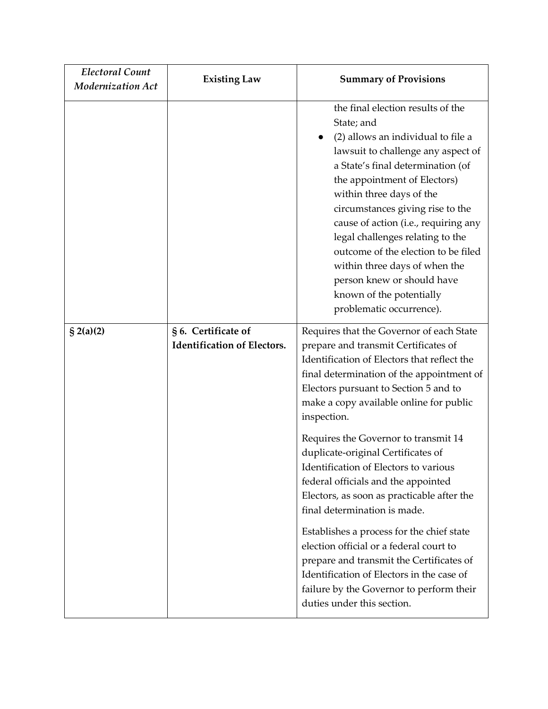| <b>Electoral Count</b><br><b>Modernization Act</b> | <b>Existing Law</b>                                       | <b>Summary of Provisions</b>                                                                                                                                                                                                                                                                                                                                                                                                                                                                               |
|----------------------------------------------------|-----------------------------------------------------------|------------------------------------------------------------------------------------------------------------------------------------------------------------------------------------------------------------------------------------------------------------------------------------------------------------------------------------------------------------------------------------------------------------------------------------------------------------------------------------------------------------|
|                                                    |                                                           | the final election results of the<br>State; and<br>(2) allows an individual to file a<br>lawsuit to challenge any aspect of<br>a State's final determination (of<br>the appointment of Electors)<br>within three days of the<br>circumstances giving rise to the<br>cause of action (i.e., requiring any<br>legal challenges relating to the<br>outcome of the election to be filed<br>within three days of when the<br>person knew or should have<br>known of the potentially<br>problematic occurrence). |
| $\{$ 2(a)(2)                                       | § 6. Certificate of<br><b>Identification of Electors.</b> | Requires that the Governor of each State<br>prepare and transmit Certificates of<br>Identification of Electors that reflect the<br>final determination of the appointment of<br>Electors pursuant to Section 5 and to<br>make a copy available online for public<br>inspection.                                                                                                                                                                                                                            |
|                                                    |                                                           | Requires the Governor to transmit 14<br>duplicate-original Certificates of<br>Identification of Electors to various<br>federal officials and the appointed<br>Electors, as soon as practicable after the<br>final determination is made.                                                                                                                                                                                                                                                                   |
|                                                    |                                                           | Establishes a process for the chief state<br>election official or a federal court to<br>prepare and transmit the Certificates of<br>Identification of Electors in the case of<br>failure by the Governor to perform their<br>duties under this section.                                                                                                                                                                                                                                                    |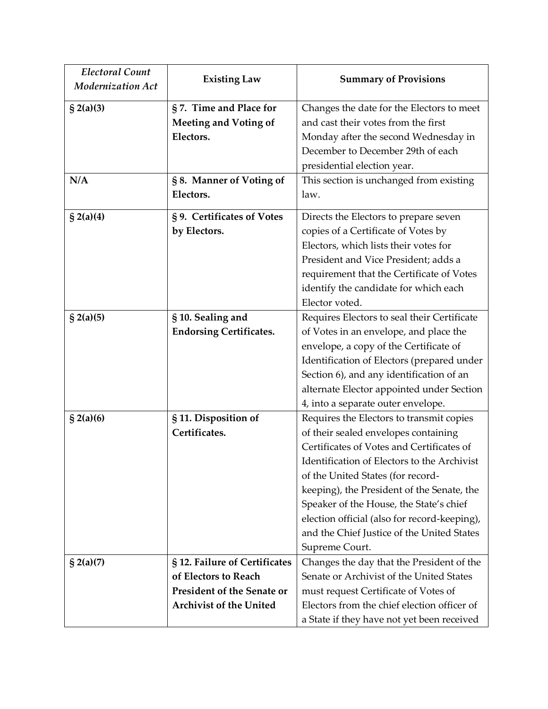| <b>Electoral Count</b><br><b>Modernization Act</b> | <b>Existing Law</b>                                                                                                          | <b>Summary of Provisions</b>                                                                                                                                                                                                                                                                                                                                                                                               |
|----------------------------------------------------|------------------------------------------------------------------------------------------------------------------------------|----------------------------------------------------------------------------------------------------------------------------------------------------------------------------------------------------------------------------------------------------------------------------------------------------------------------------------------------------------------------------------------------------------------------------|
| $\S 2(a)(3)$                                       | §7. Time and Place for<br><b>Meeting and Voting of</b><br>Electors.                                                          | Changes the date for the Electors to meet<br>and cast their votes from the first<br>Monday after the second Wednesday in<br>December to December 29th of each                                                                                                                                                                                                                                                              |
| N/A                                                | §8. Manner of Voting of<br>Electors.                                                                                         | presidential election year.<br>This section is unchanged from existing<br>law.                                                                                                                                                                                                                                                                                                                                             |
| $\{$ 2(a)(4)                                       | §9. Certificates of Votes<br>by Electors.                                                                                    | Directs the Electors to prepare seven<br>copies of a Certificate of Votes by<br>Electors, which lists their votes for<br>President and Vice President; adds a<br>requirement that the Certificate of Votes<br>identify the candidate for which each<br>Elector voted.                                                                                                                                                      |
| $\S$ 2(a)(5)                                       | § 10. Sealing and<br><b>Endorsing Certificates.</b>                                                                          | Requires Electors to seal their Certificate<br>of Votes in an envelope, and place the<br>envelope, a copy of the Certificate of<br>Identification of Electors (prepared under<br>Section 6), and any identification of an<br>alternate Elector appointed under Section<br>4, into a separate outer envelope.                                                                                                               |
| \$2(a)(6)                                          | § 11. Disposition of<br>Certificates.                                                                                        | Requires the Electors to transmit copies<br>of their sealed envelopes containing<br>Certificates of Votes and Certificates of<br>Identification of Electors to the Archivist<br>of the United States (for record-<br>keeping), the President of the Senate, the<br>Speaker of the House, the State's chief<br>election official (also for record-keeping),<br>and the Chief Justice of the United States<br>Supreme Court. |
| $\S 2(a)(7)$                                       | § 12. Failure of Certificates<br>of Electors to Reach<br><b>President of the Senate or</b><br><b>Archivist of the United</b> | Changes the day that the President of the<br>Senate or Archivist of the United States<br>must request Certificate of Votes of<br>Electors from the chief election officer of<br>a State if they have not yet been received                                                                                                                                                                                                 |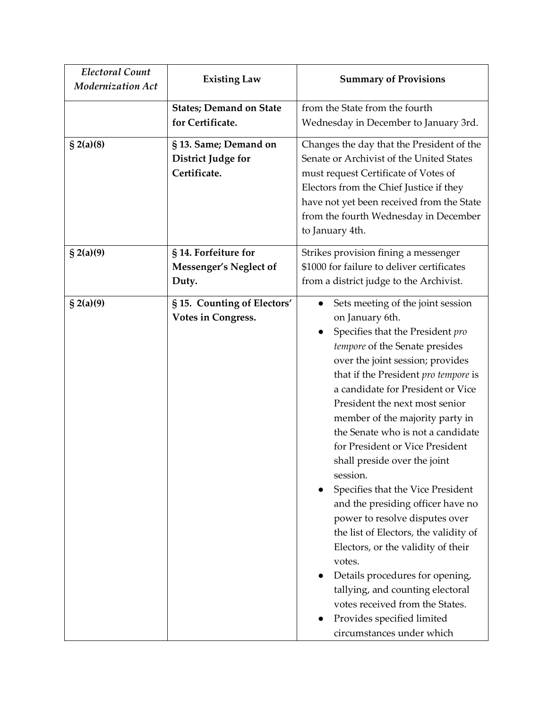| <b>Electoral Count</b><br><b>Modernization Act</b> | <b>Existing Law</b>                                                | <b>Summary of Provisions</b>                                                                                                                                                                                                                                                                                                                                                                                                                                                                                                                                                                                                                                                                                                                                                                                   |
|----------------------------------------------------|--------------------------------------------------------------------|----------------------------------------------------------------------------------------------------------------------------------------------------------------------------------------------------------------------------------------------------------------------------------------------------------------------------------------------------------------------------------------------------------------------------------------------------------------------------------------------------------------------------------------------------------------------------------------------------------------------------------------------------------------------------------------------------------------------------------------------------------------------------------------------------------------|
|                                                    | <b>States; Demand on State</b><br>for Certificate.                 | from the State from the fourth<br>Wednesday in December to January 3rd.                                                                                                                                                                                                                                                                                                                                                                                                                                                                                                                                                                                                                                                                                                                                        |
| \$2(a)(8)                                          | § 13. Same; Demand on<br><b>District Judge for</b><br>Certificate. | Changes the day that the President of the<br>Senate or Archivist of the United States<br>must request Certificate of Votes of<br>Electors from the Chief Justice if they<br>have not yet been received from the State<br>from the fourth Wednesday in December<br>to January 4th.                                                                                                                                                                                                                                                                                                                                                                                                                                                                                                                              |
| $\S 2(a)(9)$                                       | § 14. Forfeiture for<br>Messenger's Neglect of<br>Duty.            | Strikes provision fining a messenger<br>\$1000 for failure to deliver certificates<br>from a district judge to the Archivist.                                                                                                                                                                                                                                                                                                                                                                                                                                                                                                                                                                                                                                                                                  |
| \$2(a)(9)                                          | §15. Counting of Electors'<br><b>Votes in Congress.</b>            | Sets meeting of the joint session<br>on January 6th.<br>Specifies that the President pro<br>tempore of the Senate presides<br>over the joint session; provides<br>that if the President pro tempore is<br>a candidate for President or Vice<br>President the next most senior<br>member of the majority party in<br>the Senate who is not a candidate<br>for President or Vice President<br>shall preside over the joint<br>session.<br>Specifies that the Vice President<br>and the presiding officer have no<br>power to resolve disputes over<br>the list of Electors, the validity of<br>Electors, or the validity of their<br>votes.<br>Details procedures for opening,<br>tallying, and counting electoral<br>votes received from the States.<br>Provides specified limited<br>circumstances under which |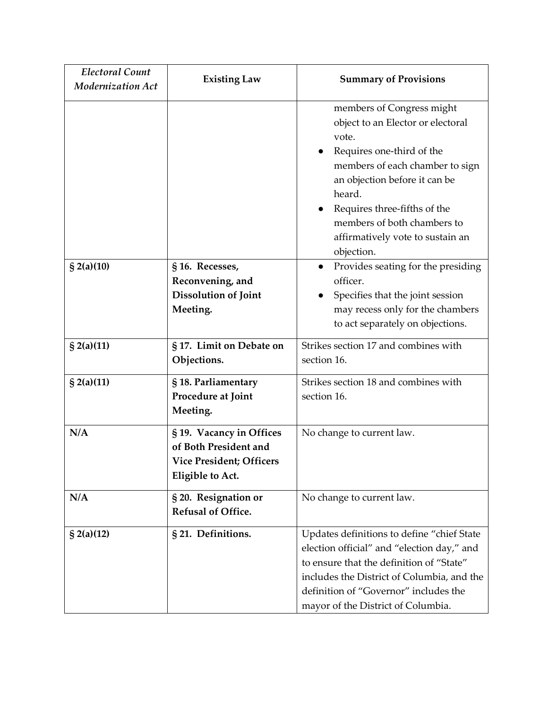| <b>Electoral Count</b><br><b>Modernization Act</b> | <b>Existing Law</b>                                                                                      | <b>Summary of Provisions</b>                                                                                                                                                                                                                                                                        |
|----------------------------------------------------|----------------------------------------------------------------------------------------------------------|-----------------------------------------------------------------------------------------------------------------------------------------------------------------------------------------------------------------------------------------------------------------------------------------------------|
|                                                    |                                                                                                          | members of Congress might<br>object to an Elector or electoral<br>vote.<br>Requires one-third of the<br>members of each chamber to sign<br>an objection before it can be<br>heard.<br>Requires three-fifths of the<br>members of both chambers to<br>affirmatively vote to sustain an<br>objection. |
| $\S$ 2(a)(10)                                      | §16. Recesses,<br>Reconvening, and<br>Dissolution of Joint<br>Meeting.                                   | Provides seating for the presiding<br>$\bullet$<br>officer.<br>Specifies that the joint session<br>may recess only for the chambers<br>to act separately on objections.                                                                                                                             |
| $\S$ 2(a)(11)                                      | § 17. Limit on Debate on<br>Objections.                                                                  | Strikes section 17 and combines with<br>section 16.                                                                                                                                                                                                                                                 |
| $\S$ 2(a)(11)                                      | § 18. Parliamentary<br>Procedure at Joint<br>Meeting.                                                    | Strikes section 18 and combines with<br>section 16.                                                                                                                                                                                                                                                 |
| N/A                                                | § 19. Vacancy in Offices<br>of Both President and<br><b>Vice President; Officers</b><br>Eligible to Act. | No change to current law.                                                                                                                                                                                                                                                                           |
| N/A                                                | § 20. Resignation or<br>Refusal of Office.                                                               | No change to current law.                                                                                                                                                                                                                                                                           |
| $\S$ 2(a)(12)                                      | § 21. Definitions.                                                                                       | Updates definitions to define "chief State<br>election official" and "election day," and<br>to ensure that the definition of "State"<br>includes the District of Columbia, and the<br>definition of "Governor" includes the<br>mayor of the District of Columbia.                                   |